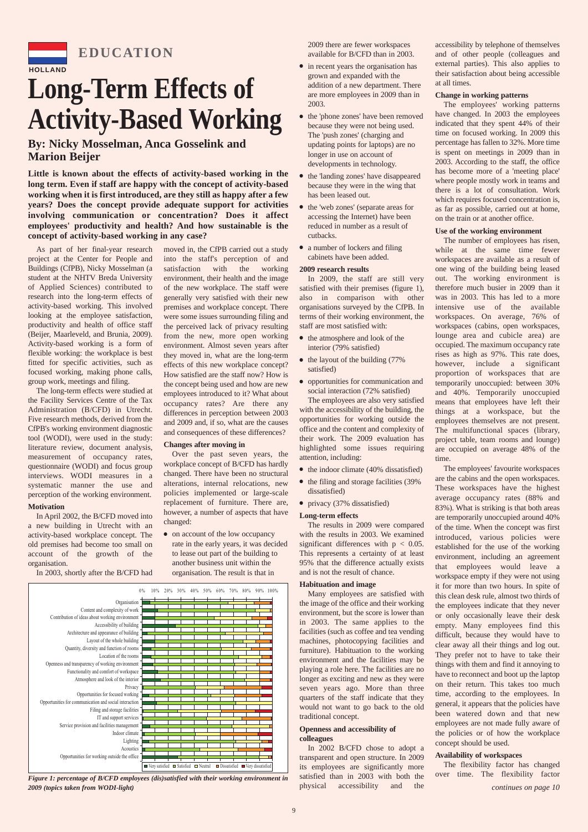

## **EDUCATION**

# **Long-Term Effects of Activity-Based Working**

## **By: Nicky Mosselman, Anca Gosselink and Marion Beijer**

**Little is known about the effects of activity-based working in the long term. Even if staff are happy with the concept of activity-based working when it is first introduced, are they still as happy after a few years? Does the concept provide adequate support for activities involving communication or concentration? Does it affect employees' productivity and health? And how sustainable is the concept of activity-based working in any case?** 

As part of her final-year research project at the Center for People and Buildings (CfPB), Nicky Mosselman (a student at the NHTV Breda University of Applied Sciences) contributed to research into the long-term effects of activity-based working. This involved looking at the employee satisfaction, productivity and health of office staff (Beijer, Maarleveld, and Brunia, 2009). Activity-based working is a form of flexible working: the workplace is best fitted for specific activities, such as focused working, making phone calls, group work, meetings and filing.

The long-term effects were studied at the Facility Services Centre of the Tax Administration (B/CFD) in Utrecht. Five research methods, derived from the CfPB's working environment diagnostic tool (WODI), were used in the study: literature review, document analysis, measurement of occupancy rates, questionnaire (WODI) and focus group interviews. WODI measures in a systematic manner the use and perception of the working environment.

## **Motivation**

In April 2002, the B/CFD moved into a new building in Utrecht with an activity-based workplace concept. The old premises had become too small on account of the growth of the organisation.

In 2003, shortly after the B/CFD had

moved in, the CfPB carried out a study into the staff's perception of and satisfaction with the working environment, their health and the image of the new workplace. The staff were generally very satisfied with their new premises and workplace concept. There were some issues surrounding filing and the perceived lack of privacy resulting from the new, more open working environment. Almost seven years after they moved in, what are the long-term effects of this new workplace concept? How satisfied are the staff now? How is the concept being used and how are new employees introduced to it? What about occupancy rates? Are there any differences in perception between 2003 and 2009 and, if so, what are the causes and consequences of these differences?

## **Changes after moving in**

Over the past seven years, the workplace concept of B/CFD has hardly changed. There have been no structural alterations, internal relocations, new policies implemented or large-scale replacement of furniture. There are, however, a number of aspects that have changed:

• on account of the low occupancy rate in the early years, it was decided to lease out part of the building to another business unit within the organisation. The result is that in



*Figure 1: percentage of B/CFD employees (dis)satisfied with their working environment in 2009 (topics taken from WODI-light) continues on page 10*

2009 there are fewer workspaces available for B/CFD than in 2003.

- in recent years the organisation has grown and expanded with the addition of a new department. There are more employees in 2009 than in 2003.
- the 'phone zones' have been removed because they were not being used. The 'push zones' (charging and updating points for laptops) are no longer in use on account of developments in technology.
- the 'landing zones' have disappeared because they were in the wing that has been leased out.
- the 'web zones' (separate areas for accessing the Internet) have been reduced in number as a result of cutbacks.
- a number of lockers and filing cabinets have been added.

#### **2009 research results**

In 2009, the staff are still very satisfied with their premises (figure 1), also in comparison with other organisations surveyed by the CfPB. In terms of their working environment, the staff are most satisfied with:

- the atmosphere and look of the interior (79% satisfied)
- the layout of the building (77%) satisfied)
- opportunities for communication and social interaction (72% satisfied)

The employees are also very satisfied with the accessibility of the building, the opportunities for working outside the office and the content and complexity of their work. The 2009 evaluation has highlighted some issues requiring attention, including:

- the indoor climate (40% dissatisfied)
- the filing and storage facilities (39%
- privacy (37% dissatisfied)

## **Long-term effects**

dissatisfied)

The results in 2009 were compared with the results in 2003. We examined significant differences with  $p < 0.05$ . This represents a certainty of at least 95% that the difference actually exists and is not the result of chance.

#### **Habituation and image**

Many employees are satisfied with the image of the office and their working environment, but the score is lower than in 2003. The same applies to the facilities (such as coffee and tea vending machines, photocopying facilities and furniture). Habituation to the working environment and the facilities may be playing a role here. The facilities are no longer as exciting and new as they were seven years ago. More than three quarters of the staff indicate that they would not want to go back to the old traditional concept.

#### **Openness and accessibility of colleagues**

In 2002 B/CFD chose to adopt a transparent and open structure. In 2009 its employees are significantly more satisfied than in 2003 with both the physical accessibility and the

accessibility by telephone of themselves and of other people (colleagues and external parties). This also applies to their satisfaction about being accessible at all times.

#### **Change in working patterns**

The employees' working patterns have changed. In 2003 the employees indicated that they spent 44% of their time on focused working. In 2009 this percentage has fallen to 32%. More time is spent on meetings in 2009 than in 2003. According to the staff, the office has become more of a 'meeting place' where people mostly work in teams and there is a lot of consultation. Work which requires focused concentration is, as far as possible, carried out at home, on the train or at another office.

#### **Use of the working environment**

The number of employees has risen, while at the same time fewer workspaces are available as a result of one wing of the building being leased out. The working environment is therefore much busier in 2009 than it was in 2003. This has led to a more intensive use of the available workspaces. On average, 76% of workspaces (cabins, open workspaces, lounge area and cubicle area) are occupied. The maximum occupancy rate rises as high as 97%. This rate does, however, include a significant proportion of workspaces that are temporarily unoccupied: between 30% and 40%. Temporarily unoccupied means that employees have left their things at a workspace, but the employees themselves are not present. The multifunctional spaces (library, project table, team rooms and lounge) are occupied on average 48% of the time.

The employees' favourite workspaces are the cabins and the open workspaces. These workspaces have the highest average occupancy rates (88% and 83%). What is striking is that both areas are temporarily unoccupied around 40% of the time. When the concept was first introduced, various policies were established for the use of the working environment, including an agreement that employees would leave a workspace empty if they were not using it for more than two hours. In spite of this clean desk rule, almost two thirds of the employees indicate that they never or only occasionally leave their desk empty. Many employees find this difficult, because they would have to clear away all their things and log out. They prefer not to have to take their things with them and find it annoying to have to reconnect and boot up the laptop on their return. This takes too much time, according to the employees. In general, it appears that the policies have been watered down and that new employees are not made fully aware of the policies or of how the workplace concept should be used.

## **Availability of workspaces**

The flexibility factor has changed over time. The flexibility factor